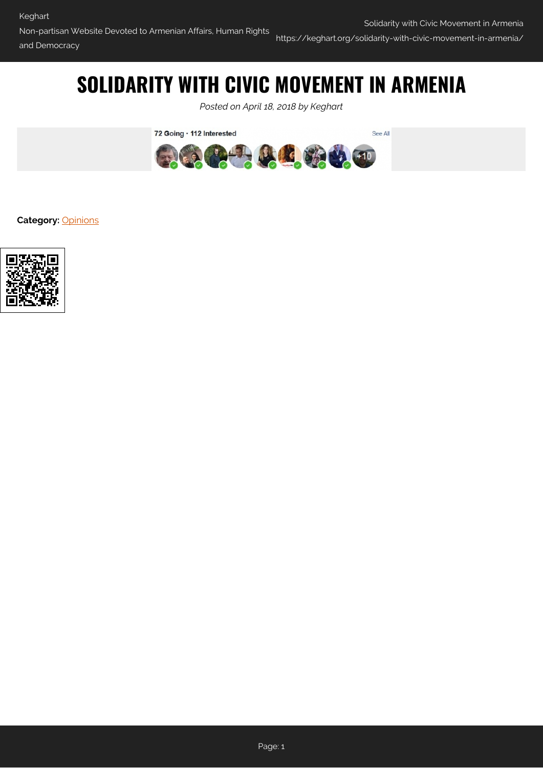## **SOLIDARITY WITH CIVIC MOVEMENT IN ARMENIA**

*Posted on April 18, 2018 by Keghart*



**Category:** [Opinions](https://keghart.org/category/opinions/)

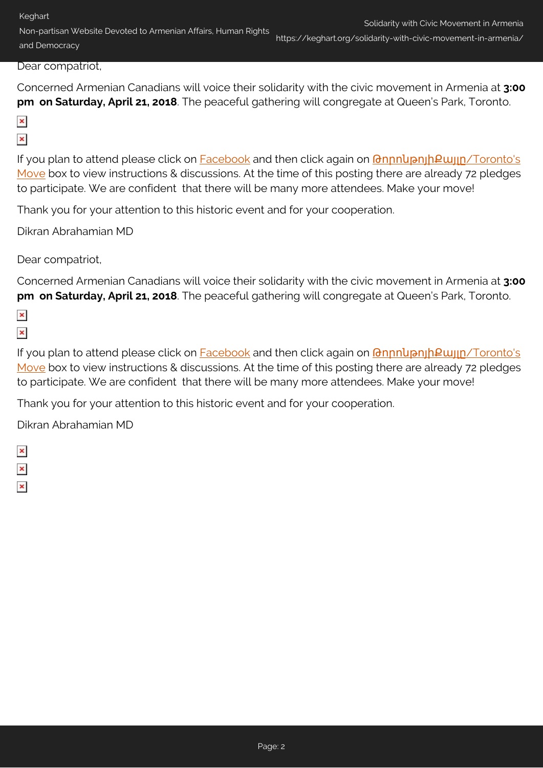Keghart

Non-partisan Website Devoted to Armenian Affairs, Human Rights and Democracy

## Dear compatriot,

Concerned Armenian Canadians will voice their solidarity with the civic movement in Armenia at **3:00 pm on Saturday, April 21, 2018**. The peaceful gathering will congregate at Queen's Park, Toronto.

- $\pmb{\times}$
- $\pmb{\times}$

If you plan to attend please click on [Facebook](https://www.facebook.com/shares/view?id=194775394471020&overlay=1¬if_id=1524183543541452¬if_t=story_reshare&ref=notif) and then click again on *GnnnupnghPugn[/Toronto's](https://www.facebook.com/shares/view?id=194775394471020&overlay=1¬if_id=1524183543541452¬if_t=story_reshare&ref=notif)* [Move](https://www.facebook.com/shares/view?id=194775394471020&overlay=1¬if_id=1524183543541452¬if_t=story_reshare&ref=notif) box to view instructions & discussions. At the time of this posting there are already 72 pledges to participate. We are confident that there will be many more attendees. Make your move!

Thank you for your attention to this historic event and for your cooperation.

Dikran Abrahamian MD

Dear compatriot,

Concerned Armenian Canadians will voice their solidarity with the civic movement in Armenia at **3:00 pm on Saturday, April 21, 2018**. The peaceful gathering will congregate at Queen's Park, Toronto.

- $\pmb{\times}$
- $\pmb{\times}$

If you plan to attend please click on **Facebook** and then click again on *GnnnupnjhPujjn[/Toronto's](https://www.facebook.com/shares/view?id=194775394471020&overlay=1¬if_id=1524183543541452¬if_t=story_reshare&ref=notif)* [Move](https://www.facebook.com/shares/view?id=194775394471020&overlay=1¬if_id=1524183543541452¬if_t=story_reshare&ref=notif) box to view instructions & discussions. At the time of this posting there are already 72 pledges to participate. We are confident that there will be many more attendees. Make your move!

Thank you for your attention to this historic event and for your cooperation.

Dikran Abrahamian MD

 $\pmb{\times}$  $\pmb{\times}$  $\pmb{\times}$